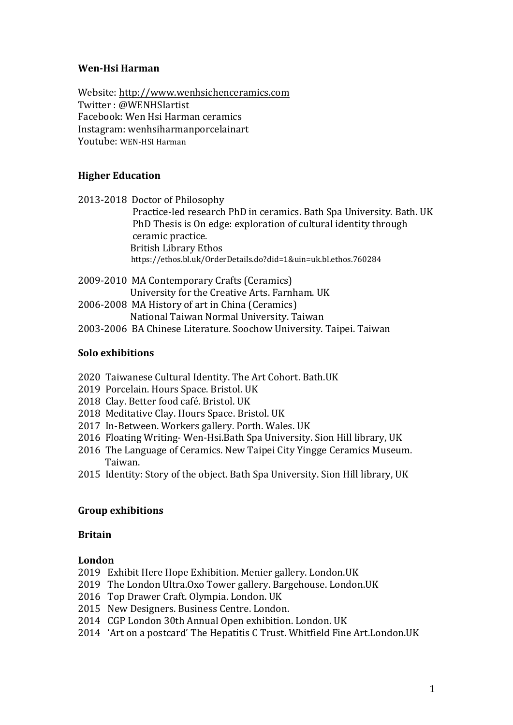## **Wen-Hsi Harman**

Website: http://www.wenhsichenceramics.com Twitter: @WENHSIartist Facebook: Wen Hsi Harman ceramics Instagram: wenhsiharmanporcelainart Youtube: WEN-HSI Harman

# **Higher Education**

2013-2018 Doctor of Philosophy Practice-led research PhD in ceramics. Bath Spa University. Bath. UK PhD Thesis is On edge: exploration of cultural identity through ceramic practice. **British Library Ethos**  https://ethos.bl.uk/OrderDetails.do?did=1&uin=uk.bl.ethos.760284

- 2009-2010 MA Contemporary Crafts (Ceramics) University for the Creative Arts. Farnham. UK 2006-2008 MA History of art in China (Ceramics)
	- National Taiwan Normal University. Taiwan
- 2003-2006 BA Chinese Literature. Soochow University. Taipei. Taiwan

## **Solo exhibitions**

- 2020 Taiwanese Cultural Identity. The Art Cohort. Bath.UK
- 2019 Porcelain. Hours Space. Bristol. UK
- 2018 Clay. Better food café. Bristol. UK
- 2018 Meditative Clay. Hours Space. Bristol. UK
- 2017 In-Between. Workers gallery. Porth. Wales. UK
- 2016 Floating Writing-Wen-Hsi.Bath Spa University. Sion Hill library, UK
- 2016 The Language of Ceramics. New Taipei City Yingge Ceramics Museum. Taiwan.
- 2015 Identity: Story of the object. Bath Spa University. Sion Hill library, UK

## **Group exhibitions**

## **Britain**

## **London**

- 2019 Exhibit Here Hope Exhibition. Menier gallery. London.UK
- 2019 The London Ultra.Oxo Tower gallery. Bargehouse. London.UK
- 2016 Top Drawer Craft. Olympia. London. UK
- 2015 New Designers. Business Centre. London.
- 2014 CGP London 30th Annual Open exhibition. London. UK
- 2014 'Art on a postcard' The Hepatitis C Trust. Whitfield Fine Art.London.UK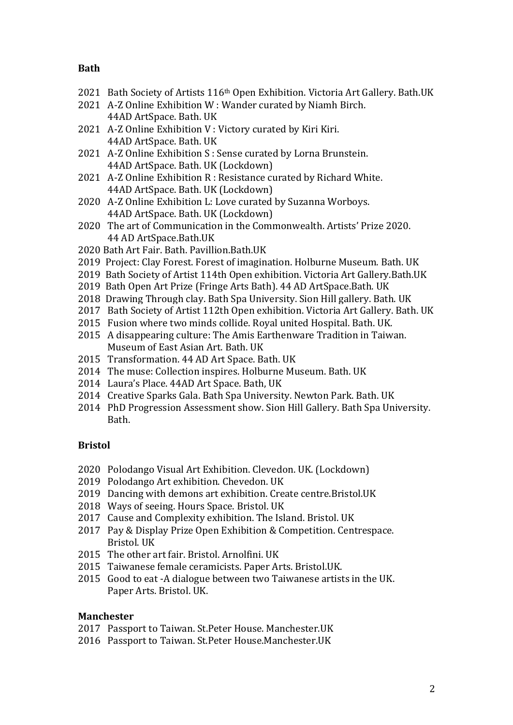#### **Bath**

- 2021 Bath Society of Artists 116<sup>th</sup> Open Exhibition. Victoria Art Gallery. Bath.UK
- 2021 A-Z Online Exhibition W: Wander curated by Niamh Birch. 44AD ArtSpace. Bath. UK
- 2021 A-Z Online Exhibition V: Victory curated by Kiri Kiri. 44AD ArtSpace. Bath. UK
- 2021 A-Z Online Exhibition S: Sense curated by Lorna Brunstein. 44AD ArtSpace. Bath. UK (Lockdown)
- 2021 A-Z Online Exhibition R: Resistance curated by Richard White. 44AD ArtSpace. Bath. UK (Lockdown)
- 2020 A-Z Online Exhibition L: Love curated by Suzanna Worboys. 44AD ArtSpace. Bath. UK (Lockdown)
- 2020 The art of Communication in the Commonwealth. Artists' Prize 2020. 44 AD ArtSpace.Bath.UK
- 2020 Bath Art Fair. Bath. Pavillion.Bath.UK
- 2019 Project: Clay Forest. Forest of imagination. Holburne Museum. Bath. UK
- 2019 Bath Society of Artist 114th Open exhibition. Victoria Art Gallery.Bath.UK
- 2019 Bath Open Art Prize (Fringe Arts Bath). 44 AD ArtSpace.Bath. UK
- 2018 Drawing Through clay. Bath Spa University. Sion Hill gallery. Bath. UK
- 2017 Bath Society of Artist 112th Open exhibition. Victoria Art Gallery. Bath. UK
- 2015 Fusion where two minds collide. Royal united Hospital. Bath. UK.
- 2015 A disappearing culture: The Amis Earthenware Tradition in Taiwan. Museum of East Asian Art. Bath. UK
- 2015 Transformation. 44 AD Art Space. Bath. UK
- 2014 The muse: Collection inspires. Holburne Museum. Bath. UK
- 2014 Laura's Place. 44AD Art Space. Bath. UK
- 2014 Creative Sparks Gala. Bath Spa University. Newton Park. Bath. UK
- 2014 PhD Progression Assessment show. Sion Hill Gallery. Bath Spa University. Bath.

## **Bristol**

- 2020 Polodango Visual Art Exhibition. Clevedon. UK. (Lockdown)
- 2019 Polodango Art exhibition. Chevedon. UK
- 2019 Dancing with demons art exhibition. Create centre.Bristol.UK
- 2018 Ways of seeing. Hours Space. Bristol. UK
- 2017 Cause and Complexity exhibition. The Island. Bristol. UK
- 2017 Pay & Display Prize Open Exhibition & Competition. Centrespace. Bristol. UK
- 2015 The other art fair. Bristol. Arnolfini. UK
- 2015 Taiwanese female ceramicists. Paper Arts. Bristol.UK.
- 2015 Good to eat -A dialogue between two Taiwanese artists in the UK. Paper Arts. Bristol. UK.

## **Manchester**

- 2017 Passport to Taiwan. St.Peter House. Manchester.UK
- 2016 Passport to Taiwan. St.Peter House.Manchester.UK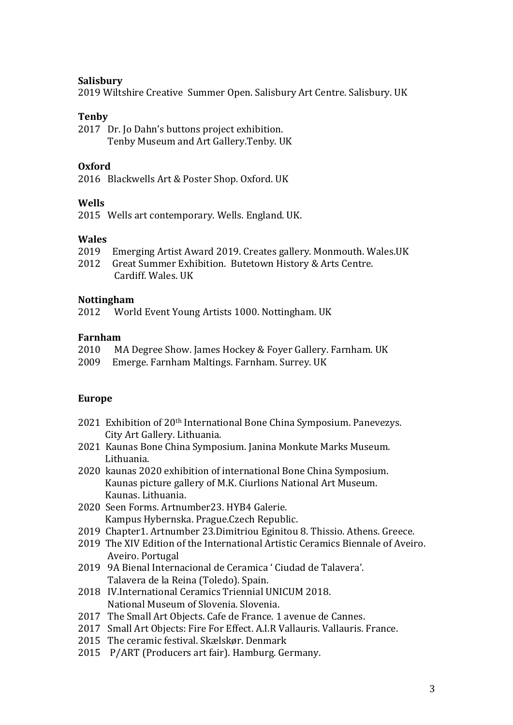#### **Salisbury**

2019 Wiltshire Creative Summer Open. Salisbury Art Centre. Salisbury. UK

#### **Tenby**

2017 Dr. Jo Dahn's buttons project exhibition. Tenby Museum and Art Gallery.Tenby. UK

## **Oxford**

2016 Blackwells Art & Poster Shop. Oxford. UK

## **Wells**

2015 Wells art contemporary. Wells. England. UK.

## **Wales**

- 2019 Emerging Artist Award 2019. Creates gallery. Monmouth. Wales.UK
- 2012 Great Summer Exhibition. Butetown History & Arts Centre. Cardiff. Wales. UK

#### **Nottingham**

2012 World Event Young Artists 1000. Nottingham. UK

#### **Farnham**

- 2010 MA Degree Show. James Hockey & Foyer Gallery. Farnham. UK
- 2009 Emerge. Farnham Maltings. Farnham. Surrey. UK

## **Europe**

- 2021 Exhibition of 20<sup>th</sup> International Bone China Symposium. Panevezys. City Art Gallery. Lithuania.
- 2021 Kaunas Bone China Symposium. Janina Monkute Marks Museum. Lithuania.
- 2020 kaunas 2020 exhibition of international Bone China Symposium. Kaunas picture gallery of M.K. Ciurlions National Art Museum. Kaunas. Lithuania.
- 2020 Seen Forms. Artnumber23. HYB4 Galerie. Kampus Hybernska. Prague.Czech Republic.
- 2019 Chapter1. Artnumber 23.Dimitriou Eginitou 8. Thissio. Athens. Greece.
- 2019 The XIV Edition of the International Artistic Ceramics Biennale of Aveiro. Aveiro. Portugal
- 2019 9A Bienal Internacional de Ceramica ' Ciudad de Talavera'. Talavera de la Reina (Toledo). Spain.
- 2018 IV. International Ceramics Triennial UNICUM 2018. National Museum of Slovenia. Slovenia.
- 2017 The Small Art Objects. Cafe de France. 1 avenue de Cannes.
- 2017 Small Art Objects: Fire For Effect. A.I.R Vallauris. Vallauris. France.
- 2015 The ceramic festival. Skælskør. Denmark
- 2015 P/ART (Producers art fair). Hamburg. Germany.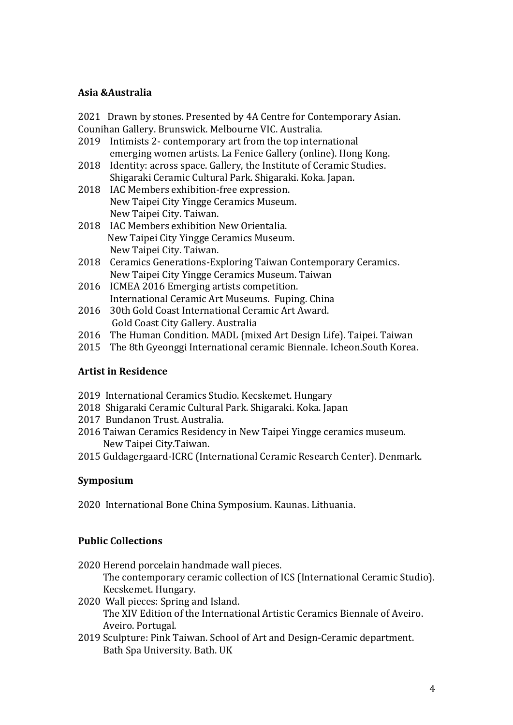## **Asia &Australia**

2021 Drawn by stones. Presented by 4A Centre for Contemporary Asian. Counihan Gallery. Brunswick. Melbourne VIC. Australia.

- 2019 Intimists 2- contemporary art from the top international emerging women artists. La Fenice Gallery (online). Hong Kong.
- 2018 Identity: across space. Gallery, the Institute of Ceramic Studies. Shigaraki Ceramic Cultural Park. Shigaraki. Koka. Japan.
- 2018 IAC Members exhibition-free expression. New Taipei City Yingge Ceramics Museum. New Taipei City. Taiwan.
- 2018 IAC Members exhibition New Orientalia. New Taipei City Yingge Ceramics Museum. New Taipei City. Taiwan.
- 2018 Ceramics Generations-Exploring Taiwan Contemporary Ceramics. New Taipei City Yingge Ceramics Museum. Taiwan
- 2016 ICMEA 2016 Emerging artists competition. International Ceramic Art Museums. Fuping. China
- 2016 30th Gold Coast International Ceramic Art Award. Gold Coast City Gallery. Australia
- 2016 The Human Condition. MADL (mixed Art Design Life). Taipei. Taiwan
- 2015 The 8th Gyeonggi International ceramic Biennale. Icheon.South Korea.

# **Artist in Residence**

- 2019 International Ceramics Studio. Kecskemet. Hungary
- 2018 Shigaraki Ceramic Cultural Park. Shigaraki. Koka. Japan
- 2017 Bundanon Trust. Australia.
- 2016 Taiwan Ceramics Residency in New Taipei Yingge ceramics museum. New Taipei City.Taiwan.
- 2015 Guldagergaard-ICRC (International Ceramic Research Center). Denmark.

# **Symposium**

2020 International Bone China Symposium. Kaunas. Lithuania.

# **Public Collections**

2020 Herend porcelain handmade wall pieces.

The contemporary ceramic collection of ICS (International Ceramic Studio). Kecskemet. Hungary.

- 2020 Wall pieces: Spring and Island. The XIV Edition of the International Artistic Ceramics Biennale of Aveiro. Aveiro. Portugal.
- 2019 Sculpture: Pink Taiwan. School of Art and Design-Ceramic department. Bath Spa University. Bath. UK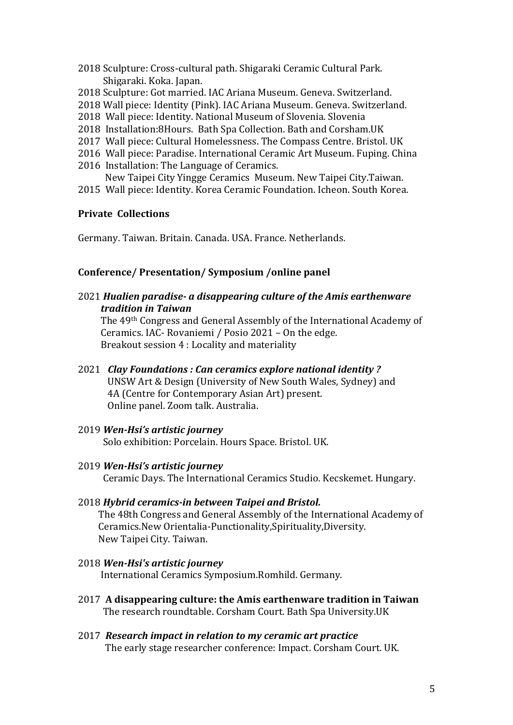- 2018 Sculpture: Cross-cultural path. Shigaraki Ceramic Cultural Park. Shigaraki. Koka. Japan.
- 2018 Sculpture: Got married. IAC Ariana Museum. Geneva. Switzerland.
- 2018 Wall piece: Identity (Pink). IAC Ariana Museum. Geneva. Switzerland.
- 2018 Wall piece: Identity. National Museum of Slovenia. Slovenia
- 2018 Installation: 8 Hours. Bath Spa Collection. Bath and Corsham. UK
- 2017 Wall piece: Cultural Homelessness. The Compass Centre. Bristol. UK
- 2016 Wall piece: Paradise. International Ceramic Art Museum. Fuping. China
- 2016 Installation: The Language of Ceramics.
- New Taipei City Yingge Ceramics Museum. New Taipei City.Taiwan.
- 2015 Wall piece: Identity. Korea Ceramic Foundation. Icheon. South Korea.

# **Private Collections**

Germany. Taiwan. Britain. Canada. USA. France. Netherlands.

# **Conference/ Presentation/ Symposium /online panel**

2021 *Hualien paradise- a disappearing culture of the Amis earthenware tradition in Taiwan* 

The 49<sup>th</sup> Congress and General Assembly of the International Academy of Ceramics. IAC- Rovaniemi / Posio  $2021 - On$  the edge. Breakout session 4 : Locality and materiality

- 2021 *Clay Foundations : Can ceramics explore national identity?* UNSW Art & Design (University of New South Wales, Sydney) and 4A (Centre for Contemporary Asian Art) present. Online panel. Zoom talk. Australia.
- 2019 *Wen-Hsi's artistic journey* Solo exhibition: Porcelain. Hours Space. Bristol. UK.
- 2019 *Wen-Hsi's artistic journey* Ceramic Days. The International Ceramics Studio. Kecskemet. Hungary.
- 2018 *Hybrid ceramics-in between Taipei and Bristol.* The 48th Congress and General Assembly of the International Academy of Ceramics.New Orientalia-Punctionality,Spirituality,Diversity. New Taipei City. Taiwan.
- 2018 *Wen-Hsi's artistic journey* International Ceramics Symposium.Romhild. Germany.
- 2017 **A disappearing culture: the Amis earthenware tradition in Taiwan** The research roundtable. Corsham Court. Bath Spa University.UK
- 2017 *Research impact in relation to my ceramic art practice* The early stage researcher conference: Impact. Corsham Court. UK.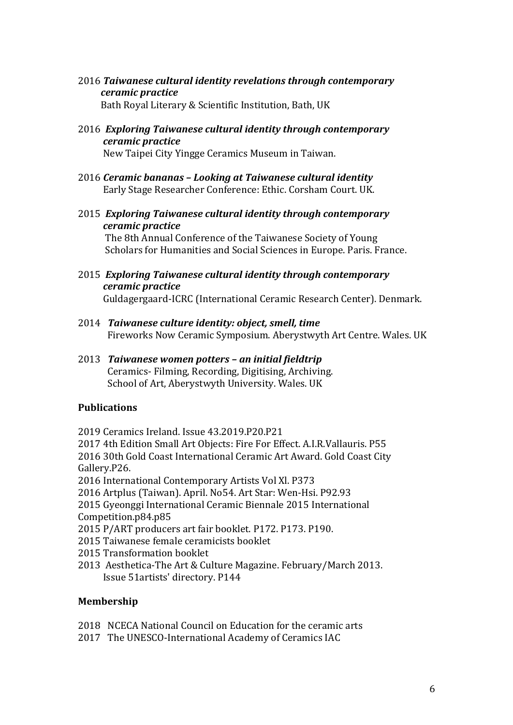2016 *Taiwanese cultural identity revelations through contemporary ceramic practice*

Bath Royal Literary & Scientific Institution, Bath, UK

2016 *Exploring Taiwanese cultural identity through contemporary ceramic practice*

New Taipei City Yingge Ceramics Museum in Taiwan.

- 2016 *Ceramic bananas – Looking at Taiwanese cultural identity* Early Stage Researcher Conference: Ethic. Corsham Court. UK.
- 2015 *Exploring Taiwanese cultural identity through contemporary ceramic practice*

The 8th Annual Conference of the Taiwanese Society of Young Scholars for Humanities and Social Sciences in Europe. Paris. France.

2015 *Exploring Taiwanese cultural identity through contemporary ceramic practice*

Guldagergaard-ICRC (International Ceramic Research Center). Denmark.

- 2014 Taiwanese culture *identity:* object, smell, time Fireworks Now Ceramic Symposium. Aberystwyth Art Centre. Wales. UK
- 2013 *Taiwanese women potters – an initial fieldtrip* Ceramics- Filming, Recording, Digitising, Archiving. School of Art, Aberystwyth University, Wales, UK

# **Publications**

2019 Ceramics Ireland. Issue 43.2019.P20.P21

2017 4th Edition Small Art Objects: Fire For Effect. A.I.R.Vallauris. P55 2016 30th Gold Coast International Ceramic Art Award. Gold Coast City Gallery.P26.

2016 International Contemporary Artists Vol Xl. P373

2016 Artplus (Taiwan). April. No54. Art Star: Wen-Hsi. P92.93

2015 Gyeonggi International Ceramic Biennale 2015 International Competition.p84.p85

2015 P/ART producers art fair booklet. P172. P173. P190.

- 2015 Taiwanese female ceramicists booklet
- 2015 Transformation booklet
- 2013 Aesthetica-The Art & Culture Magazine. February/March 2013. Issue 51artists' directory. P144

## **Membership**

- 2018 NCECA National Council on Education for the ceramic arts
- 2017 The UNESCO-International Academy of Ceramics IAC